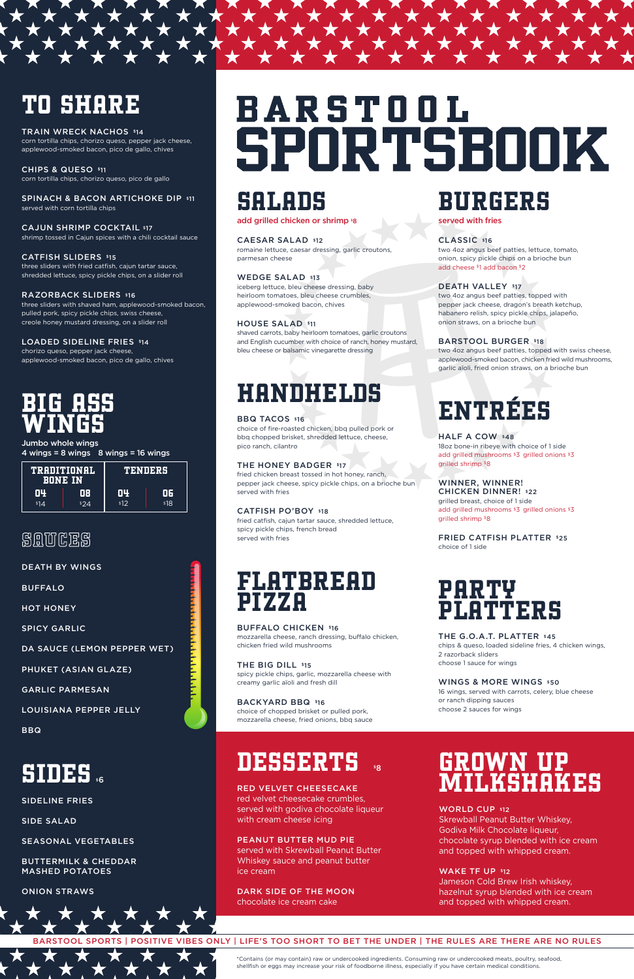## BARSTOOL SPORTS | POSITIVE VIBES ONLY | LIFE'S TOO SHORT TO BET THE UNDER | THE RULES ARE THERE ARE NO RULES



\*Contains (or may contain) raw or undercooked ingredients. Consuming raw or undercooked meats, poultry, seafood, shellfish or eggs may increase your risk of foodborne illness, especially if you have certain medical conditions.

# SALADS

#### add grilled chicken or shrimp '8

CAESAR SALAD \$12 romaine lettuce, caesar dressing, garlic croutons, parmesan cheese

WEDGE SALAD \$13

iceberg lettuce, bleu cheese dressing, baby heirloom tomatoes, bleu cheese crumbles, applewood-smoked bacon, chives

## HOUSE SALAD \$11

shaved carrots, baby heirloom tomatoes, garlic croutons and English cucumber with choice of ranch, honey mustard, bleu cheese or balsamic vinegarette dressing

THE BIG DILL \$15 spicy pickle chips, garlic, mozzarella cheese with creamy garlic aïoli and fresh dill

# HANDHELDS

## BBQ TACOS \$16

choice of fire-roasted chicken, bbq pulled pork or bbq chopped brisket, shredded lettuce, cheese, pico ranch, cilantro

## THE HONEY BADGER \$17

fried chicken breast tossed in hot honey, ranch, pepper jack cheese, spicy pickle chips, on a brioche bun served with fries

## CATFISH PO'BOY \$18

fried catfish, cajun tartar sauce, shredded lettuce, spicy pickle chips, french bread served with fries

# FLATBREAD PIZZA

THE G.O.A.T. PLATTER \$45 chips & queso, loaded sideline fries, 4 chicken wings, 2 razorback sliders choose 1 sauce for wings

## WINGS & MORE WINGS \$50

BUFFALO CHICKEN \$16 mozzarella cheese, ranch dressing, buffalo chicken, chicken fried wild mushrooms

BACKYARD BBQ \$16

SPINACH & BACON ARTICHOKE DIP \$11 served with corn tortilla chips

choice of chopped brisket or pulled pork,

## **DESSERTS 88**

# BURGERS

served with fries

## CLASSIC \$16

two 4oz angus beef patties, lettuce, tomato, onion, spicy pickle chips on a brioche bun add cheese \$1 add bacon \$2

## DEATH VALLEY \$17

LOADED SIDELINE FRIES \$14 chorizo queso, pepper jack cheese, applewood-smoked bacon, pico de gallo, chives

Jumbo whole wings  $4 \text{ wings} = 8 \text{ wings}$  8 wings = 16 wings two 4oz angus beef patties, topped with pepper jack cheese, dragon's breath ketchup, habanero relish, spicy pickle chips, jalapeño, onion straws, on a brioche bun

## BARSTOOL BURGER \$18

two 4oz angus beef patties, topped with swiss cheese, applewood-smoked bacon, chicken fried wild mushrooms, garlic aïoli, fried onion straws, on a brioche bun

# ENTRÉES

## HALF A COW \$48

18oz bone-in ribeye with choice of 1 side add grilled mushrooms \$3 grilled onions \$3 grilled shrimp \$8

WINNER, WINNER!

CHICKEN DINNER! \$22 grilled breast, choice of 1 side add grilled mushrooms \$3 grilled onions \$3 grilled shrimp \$8

FRIED CATFISH PLATTER \$25 choice of 1 side

# PARTY PLATTERS

16 wings, served with carrots, celery, blue cheese or ranch dipping sauces choose 2 sauces for wings

# TO SHARE

TRAIN WRECK NACHOS \$14 corn tortilla chips, chorizo queso, pepper jack cheese, applewood-smoked bacon, pico de gallo, chives

CHIPS & QUESO \$11 corn tortilla chips, chorizo queso, pico de gallo

CAJUN SHRIMP COCKTAIL \$17 shrimp tossed in Cajun spices with a chili cocktail sauce

## CATFISH SLIDERS \$15

three sliders with fried catfish, cajun tartar sauce, shredded lettuce, spicy pickle chips, on a slider roll

#### RAZORBACK SLIDERS \$16

three sliders with shaved ham, applewood-smoked bacon, pulled pork, spicy pickle chips, swiss cheese, creole honey mustard dressing, on a slider roll

# BIG ASS WINGS

| TRADITIONAL<br>BONE IN |      | TENDERS |      |
|------------------------|------|---------|------|
| 04                     | ΠR   | 04      | 06   |
| 14                     | \$24 | \$12    | \$18 |

## **SAUCES**

DEATH BY WINGS

BUFFALO

HOT HONEY

SPICY GARLIC

DA SAUCE (LEMON PEPPER WET)

PHUKET (ASIAN GLAZE)

GARLIC PARMESAN

LOUISIANA PEPPER JELLY

# **BARSTOOL** SPORTSBOOK

# **SIDES**

SIDELINE FRIES

SIDE SALAD

### SEASONAL VEGETABLES

BUTTERMILK & CHEDDAR MASHED POTATOES

### ONION STRAWS

#### RED VELVET CHEESECAKE

red velvet cheesecake crumbles, served with godiva chocolate liqueur with cream cheese icing

#### PEANUT BUTTER MUD PIE

served with Skrewball Peanut Butter Whiskey sauce and peanut butter ice cream

#### DARK SIDE OF THE MOON chocolate ice cream cake

# GROWN UP MILKSHAKES

#### WORLD CUP \$12

Skrewball Peanut Butter Whiskey, Godiva Milk Chocolate liqueur, chocolate syrup blended with ice cream and topped with whipped cream.

### WAKE TF UP \$12

Jameson Cold Brew Irish whiskey, hazelnut syrup blended with ice cream and topped with whipped cream.